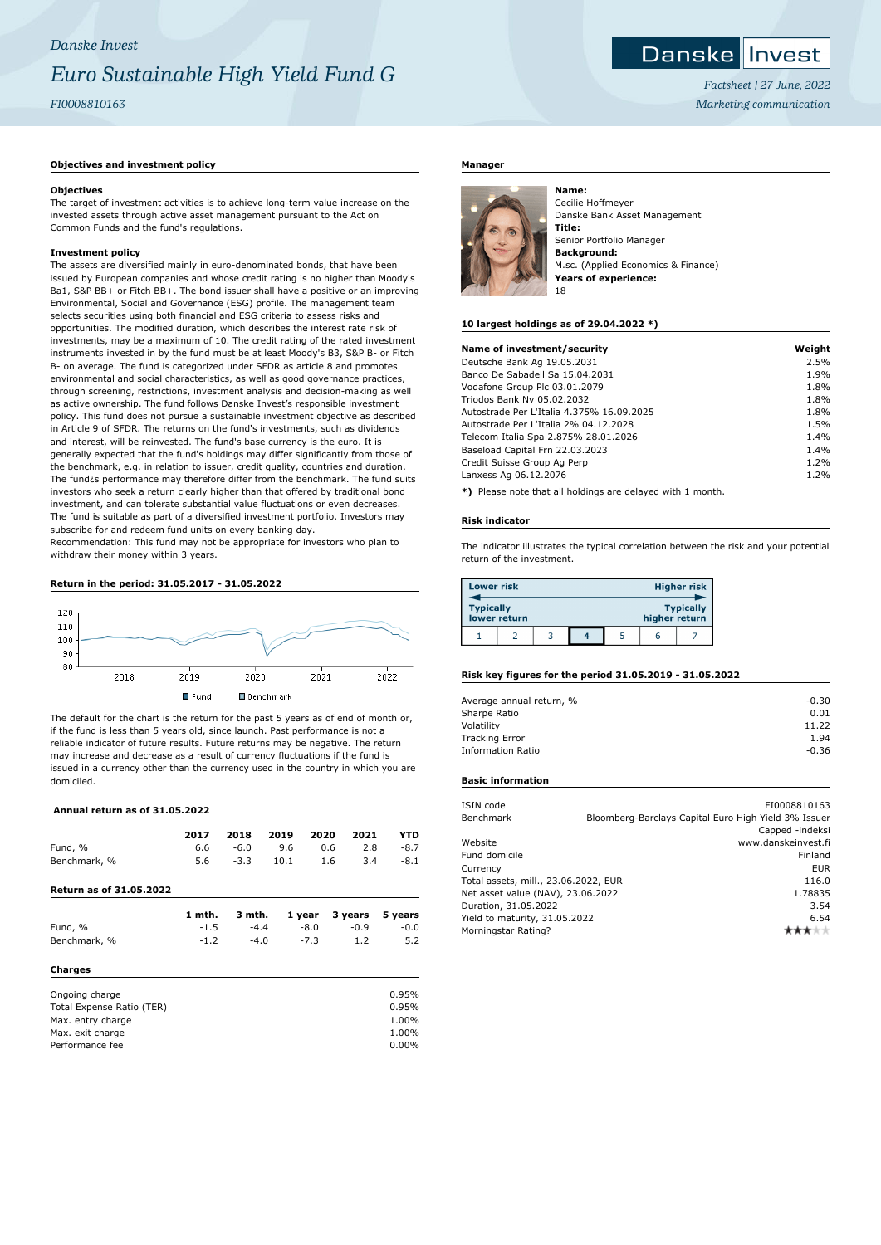# *Danske Invest Euro Sustainable High Yield Fund G FI0008810163*

# **Objectives and investment policy**

#### **Objectives**

The target of investment activities is to achieve long-term value increase on the invested assets through active asset management pursuant to the Act on Common Funds and the fund's regulations.

## **Investment policy**

The assets are diversified mainly in euro-denominated bonds, that have been issued by European companies and whose credit rating is no higher than Moody's Ba1, S&P BB+ or Fitch BB+. The bond issuer shall have a positive or an improving Environmental, Social and Governance (ESG) profile. The management team selects securities using both financial and ESG criteria to assess risks and opportunities. The modified duration, which describes the interest rate risk of investments, may be a maximum of 10. The credit rating of the rated investment instruments invested in by the fund must be at least Moody's B3, S&P B- or Fitch B- on average. The fund is categorized under SFDR as article 8 and promotes environmental and social characteristics, as well as good governance practices, through screening, restrictions, investment analysis and decision-making as well as active ownership. The fund follows Danske Invest's responsible investment policy. This fund does not pursue a sustainable investment objective as described in Article 9 of SFDR. The returns on the fund's investments, such as dividends and interest, will be reinvested. The fund's base currency is the euro. It is generally expected that the fund's holdings may differ significantly from those of the benchmark, e.g. in relation to issuer, credit quality, countries and duration. The fund¿s performance may therefore differ from the benchmark. The fund suits investors who seek a return clearly higher than that offered by traditional bond investment, and can tolerate substantial value fluctuations or even decreases. The fund is suitable as part of a diversified investment portfolio. Investors may subscribe for and redeem fund units on every banking day.

Recommendation: This fund may not be appropriate for investors who plan to withdraw their money within 3 years.

# **Return in the period: 31.05.2017 - 31.05.2022**



The default for the chart is the return for the past 5 years as of end of month or, if the fund is less than 5 years old, since launch. Past performance is not a reliable indicator of future results. Future returns may be negative. The return may increase and decrease as a result of currency fluctuations if the fund is issued in a currency other than the currency used in the country in which you are domiciled.

## **Annual return as of 31.05.2022**

| AMMAN I CLUI II AS VI SINS.LVLL |        |        |      |        |            |            |
|---------------------------------|--------|--------|------|--------|------------|------------|
|                                 | 2017   | 2018   | 2019 | 2020   | 2021       | <b>YTD</b> |
| Fund, %                         | 6.6    | $-6.0$ | 9.6  |        | 0.6<br>2.8 | $-8.7$     |
| Benchmark, %                    | 5.6    | $-3.3$ | 10.1 |        | 1.6<br>3.4 | $-8.1$     |
| Return as of 31.05.2022         |        |        |      |        |            |            |
|                                 | 1 mth. | 3 mth. |      | 1 year | 3 years    | 5 years    |
| Fund, %                         | $-1.5$ | $-4.4$ |      | $-8.0$ | $-0.9$     | $-0.0$     |
| Benchmark, %                    | $-1.2$ | $-4.0$ |      | $-7.3$ | 1.2        | 5.2        |
| Charges                         |        |        |      |        |            |            |
| Ongoing charge                  |        |        |      |        |            | 0.95%      |
| Total Expense Ratio (TER)       |        |        |      |        |            | 0.95%      |
| Max. entry charge               |        |        |      |        |            | 1.00%      |
| Max. exit charge                |        |        |      |        |            | 1.00%      |
| Performance fee                 |        |        |      |        |            | $0.00\%$   |

# **Manager**



Cecilie Hoffmeyer Danske Bank Asset Management **Title:** Senior Portfolio Manager **Background:** M.sc. (Applied Economics & Finance) **Years of experience:** 18

#### **10 largest holdings as of 29.04.2022 \*)**

| Name of investment/security                                           | Weight |
|-----------------------------------------------------------------------|--------|
| Deutsche Bank Ag 19.05.2031                                           | 2.5%   |
| Banco De Sabadell Sa 15.04.2031                                       | 1.9%   |
| Vodafone Group Plc 03.01.2079                                         | 1.8%   |
| Triodos Bank Nv 05.02.2032                                            | 1.8%   |
| Autostrade Per L'Italia 4.375% 16.09.2025                             | 1.8%   |
| Autostrade Per L'Italia 2% 04.12.2028                                 | 1.5%   |
| Telecom Italia Spa 2.875% 28.01.2026                                  | 1.4%   |
| Baseload Capital Frn 22.03.2023                                       | 1.4%   |
| Credit Suisse Group Ag Perp                                           | 1.2%   |
| Lanxess Ag 06.12.2076                                                 | 1.2%   |
| Ψλ   Discola poeta elege di la latora di discola di cotele 4 poetale. |        |

**\*)** Please note that all holdings are delayed with 1 month.

#### **Risk indicator**

The indicator illustrates the typical correlation between the risk and your potential return of the investment.

| <b>Lower risk</b> |              |  |               | <b>Higher risk</b> |
|-------------------|--------------|--|---------------|--------------------|
| <b>Typically</b>  | lower return |  | higher return | <b>Typically</b>   |
|                   |              |  | 6             |                    |

## **Risk key figures for the period 31.05.2019 - 31.05.2022**

| Average annual return, % | $-0.30$ |
|--------------------------|---------|
| Sharpe Ratio             | 0.01    |
| Volatility               | 11.22   |
| <b>Tracking Error</b>    | 1.94    |
| <b>Information Ratio</b> | $-0.36$ |

# **Basic information**

| ISIN code                            | FI0008810163                                         |
|--------------------------------------|------------------------------------------------------|
| Benchmark                            | Bloomberg-Barclays Capital Euro High Yield 3% Issuer |
|                                      | Capped -indeksi                                      |
| Website                              | www.danskeinvest.fi                                  |
| Fund domicile                        | Finland                                              |
| Currency                             | <b>EUR</b>                                           |
| Total assets, mill., 23.06.2022, EUR | 116.0                                                |
| Net asset value (NAV), 23.06.2022    | 1.78835                                              |
| Duration, 31.05.2022                 | 3.54                                                 |
| Yield to maturity, 31.05.2022        | 6.54                                                 |
| Morningstar Rating?                  |                                                      |



*Factsheet | 27 June, 2022 Marketing communication*